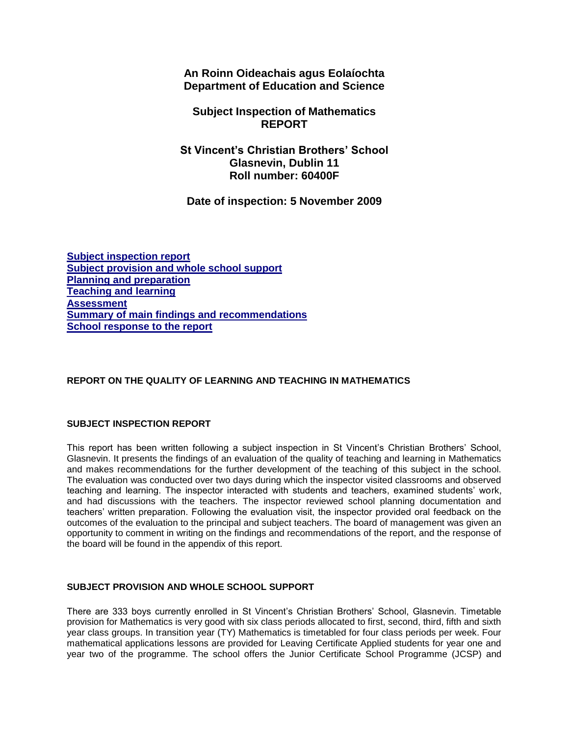**An Roinn Oideachais agus Eolaíochta Department of Education and Science**

# **Subject Inspection of Mathematics REPORT**

**St Vincent's Christian Brothers' School Glasnevin, Dublin 11 Roll number: 60400F**

**Date of inspection: 5 November 2009**

**[Subject inspection report](http://www.education.ie/en/Publications/Inspection-Reports-Publications/Subject-Inspection-Reports-List/report6_60400F.htm#_Toc256685608) [Subject provision and whole school support](http://www.education.ie/en/Publications/Inspection-Reports-Publications/Subject-Inspection-Reports-List/report6_60400F.htm#_Toc256685609) [Planning and preparation](http://www.education.ie/en/Publications/Inspection-Reports-Publications/Subject-Inspection-Reports-List/report6_60400F.htm#_Toc256685610) [Teaching and learning](http://www.education.ie/en/Publications/Inspection-Reports-Publications/Subject-Inspection-Reports-List/report6_60400F.htm#_Toc256685611) [Assessment](http://www.education.ie/en/Publications/Inspection-Reports-Publications/Subject-Inspection-Reports-List/report6_60400F.htm#_Toc256685612) [Summary of main findings and recommendations](http://www.education.ie/en/Publications/Inspection-Reports-Publications/Subject-Inspection-Reports-List/report6_60400F.htm#_Toc256685613) [School response to the report](http://www.education.ie/en/Publications/Inspection-Reports-Publications/Subject-Inspection-Reports-List/report6_60400F.htm#_Toc256685614)**

# **REPORT ON THE QUALITY OF LEARNING AND TEACHING IN MATHEMATICS**

## **SUBJECT INSPECTION REPORT**

This report has been written following a subject inspection in St Vincent's Christian Brothers' School, Glasnevin. It presents the findings of an evaluation of the quality of teaching and learning in Mathematics and makes recommendations for the further development of the teaching of this subject in the school. The evaluation was conducted over two days during which the inspector visited classrooms and observed teaching and learning. The inspector interacted with students and teachers, examined students' work, and had discussions with the teachers. The inspector reviewed school planning documentation and teachers' written preparation. Following the evaluation visit, the inspector provided oral feedback on the outcomes of the evaluation to the principal and subject teachers. The board of management was given an opportunity to comment in writing on the findings and recommendations of the report, and the response of the board will be found in the appendix of this report.

## **SUBJECT PROVISION AND WHOLE SCHOOL SUPPORT**

There are 333 boys currently enrolled in St Vincent's Christian Brothers' School, Glasnevin. Timetable provision for Mathematics is very good with six class periods allocated to first, second, third, fifth and sixth year class groups. In transition year (TY) Mathematics is timetabled for four class periods per week. Four mathematical applications lessons are provided for Leaving Certificate Applied students for year one and year two of the programme. The school offers the Junior Certificate School Programme (JCSP) and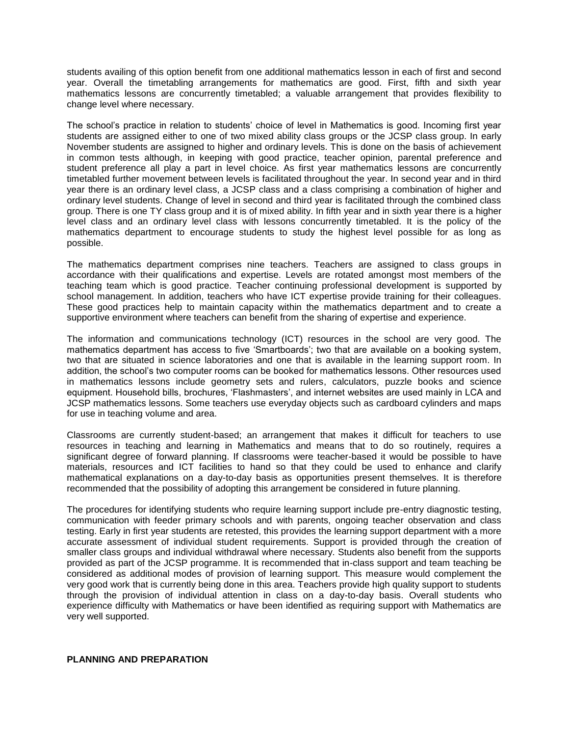students availing of this option benefit from one additional mathematics lesson in each of first and second year. Overall the timetabling arrangements for mathematics are good. First, fifth and sixth year mathematics lessons are concurrently timetabled; a valuable arrangement that provides flexibility to change level where necessary.

The school's practice in relation to students' choice of level in Mathematics is good. Incoming first year students are assigned either to one of two mixed ability class groups or the JCSP class group. In early November students are assigned to higher and ordinary levels. This is done on the basis of achievement in common tests although, in keeping with good practice, teacher opinion, parental preference and student preference all play a part in level choice. As first year mathematics lessons are concurrently timetabled further movement between levels is facilitated throughout the year. In second year and in third year there is an ordinary level class, a JCSP class and a class comprising a combination of higher and ordinary level students. Change of level in second and third year is facilitated through the combined class group. There is one TY class group and it is of mixed ability. In fifth year and in sixth year there is a higher level class and an ordinary level class with lessons concurrently timetabled. It is the policy of the mathematics department to encourage students to study the highest level possible for as long as possible.

The mathematics department comprises nine teachers. Teachers are assigned to class groups in accordance with their qualifications and expertise. Levels are rotated amongst most members of the teaching team which is good practice. Teacher continuing professional development is supported by school management. In addition, teachers who have ICT expertise provide training for their colleagues. These good practices help to maintain capacity within the mathematics department and to create a supportive environment where teachers can benefit from the sharing of expertise and experience.

The information and communications technology (ICT) resources in the school are very good. The mathematics department has access to five 'Smartboards'; two that are available on a booking system, two that are situated in science laboratories and one that is available in the learning support room. In addition, the school's two computer rooms can be booked for mathematics lessons. Other resources used in mathematics lessons include geometry sets and rulers, calculators, puzzle books and science equipment. Household bills, brochures, 'Flashmasters', and internet websites are used mainly in LCA and JCSP mathematics lessons. Some teachers use everyday objects such as cardboard cylinders and maps for use in teaching volume and area.

Classrooms are currently student-based; an arrangement that makes it difficult for teachers to use resources in teaching and learning in Mathematics and means that to do so routinely, requires a significant degree of forward planning. If classrooms were teacher-based it would be possible to have materials, resources and ICT facilities to hand so that they could be used to enhance and clarify mathematical explanations on a day-to-day basis as opportunities present themselves. It is therefore recommended that the possibility of adopting this arrangement be considered in future planning.

The procedures for identifying students who require learning support include pre-entry diagnostic testing, communication with feeder primary schools and with parents, ongoing teacher observation and class testing. Early in first year students are retested, this provides the learning support department with a more accurate assessment of individual student requirements. Support is provided through the creation of smaller class groups and individual withdrawal where necessary. Students also benefit from the supports provided as part of the JCSP programme. It is recommended that in-class support and team teaching be considered as additional modes of provision of learning support. This measure would complement the very good work that is currently being done in this area. Teachers provide high quality support to students through the provision of individual attention in class on a day-to-day basis. Overall students who experience difficulty with Mathematics or have been identified as requiring support with Mathematics are very well supported.

### **PLANNING AND PREPARATION**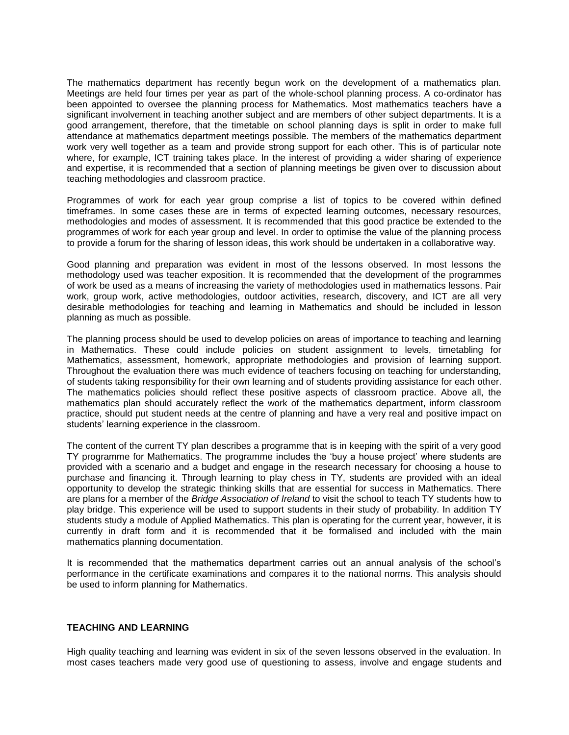The mathematics department has recently begun work on the development of a mathematics plan. Meetings are held four times per year as part of the whole-school planning process. A co-ordinator has been appointed to oversee the planning process for Mathematics. Most mathematics teachers have a significant involvement in teaching another subject and are members of other subject departments. It is a good arrangement, therefore, that the timetable on school planning days is split in order to make full attendance at mathematics department meetings possible. The members of the mathematics department work very well together as a team and provide strong support for each other. This is of particular note where, for example, ICT training takes place. In the interest of providing a wider sharing of experience and expertise, it is recommended that a section of planning meetings be given over to discussion about teaching methodologies and classroom practice.

Programmes of work for each year group comprise a list of topics to be covered within defined timeframes. In some cases these are in terms of expected learning outcomes, necessary resources, methodologies and modes of assessment. It is recommended that this good practice be extended to the programmes of work for each year group and level. In order to optimise the value of the planning process to provide a forum for the sharing of lesson ideas, this work should be undertaken in a collaborative way.

Good planning and preparation was evident in most of the lessons observed. In most lessons the methodology used was teacher exposition. It is recommended that the development of the programmes of work be used as a means of increasing the variety of methodologies used in mathematics lessons. Pair work, group work, active methodologies, outdoor activities, research, discovery, and ICT are all very desirable methodologies for teaching and learning in Mathematics and should be included in lesson planning as much as possible.

The planning process should be used to develop policies on areas of importance to teaching and learning in Mathematics. These could include policies on student assignment to levels, timetabling for Mathematics, assessment, homework, appropriate methodologies and provision of learning support. Throughout the evaluation there was much evidence of teachers focusing on teaching for understanding, of students taking responsibility for their own learning and of students providing assistance for each other. The mathematics policies should reflect these positive aspects of classroom practice. Above all, the mathematics plan should accurately reflect the work of the mathematics department, inform classroom practice, should put student needs at the centre of planning and have a very real and positive impact on students' learning experience in the classroom.

The content of the current TY plan describes a programme that is in keeping with the spirit of a very good TY programme for Mathematics. The programme includes the 'buy a house project' where students are provided with a scenario and a budget and engage in the research necessary for choosing a house to purchase and financing it. Through learning to play chess in TY, students are provided with an ideal opportunity to develop the strategic thinking skills that are essential for success in Mathematics. There are plans for a member of the *Bridge Association of Ireland* to visit the school to teach TY students how to play bridge. This experience will be used to support students in their study of probability. In addition TY students study a module of Applied Mathematics. This plan is operating for the current year, however, it is currently in draft form and it is recommended that it be formalised and included with the main mathematics planning documentation.

It is recommended that the mathematics department carries out an annual analysis of the school's performance in the certificate examinations and compares it to the national norms. This analysis should be used to inform planning for Mathematics.

### **TEACHING AND LEARNING**

High quality teaching and learning was evident in six of the seven lessons observed in the evaluation. In most cases teachers made very good use of questioning to assess, involve and engage students and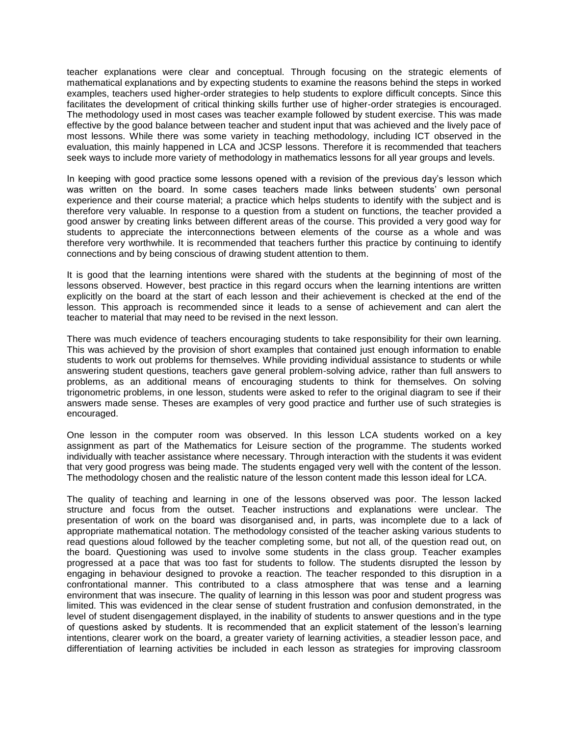teacher explanations were clear and conceptual. Through focusing on the strategic elements of mathematical explanations and by expecting students to examine the reasons behind the steps in worked examples, teachers used higher-order strategies to help students to explore difficult concepts. Since this facilitates the development of critical thinking skills further use of higher-order strategies is encouraged. The methodology used in most cases was teacher example followed by student exercise. This was made effective by the good balance between teacher and student input that was achieved and the lively pace of most lessons. While there was some variety in teaching methodology, including ICT observed in the evaluation, this mainly happened in LCA and JCSP lessons. Therefore it is recommended that teachers seek ways to include more variety of methodology in mathematics lessons for all year groups and levels.

In keeping with good practice some lessons opened with a revision of the previous day's lesson which was written on the board. In some cases teachers made links between students' own personal experience and their course material; a practice which helps students to identify with the subject and is therefore very valuable. In response to a question from a student on functions, the teacher provided a good answer by creating links between different areas of the course. This provided a very good way for students to appreciate the interconnections between elements of the course as a whole and was therefore very worthwhile. It is recommended that teachers further this practice by continuing to identify connections and by being conscious of drawing student attention to them.

It is good that the learning intentions were shared with the students at the beginning of most of the lessons observed. However, best practice in this regard occurs when the learning intentions are written explicitly on the board at the start of each lesson and their achievement is checked at the end of the lesson. This approach is recommended since it leads to a sense of achievement and can alert the teacher to material that may need to be revised in the next lesson.

There was much evidence of teachers encouraging students to take responsibility for their own learning. This was achieved by the provision of short examples that contained just enough information to enable students to work out problems for themselves. While providing individual assistance to students or while answering student questions, teachers gave general problem-solving advice, rather than full answers to problems, as an additional means of encouraging students to think for themselves. On solving trigonometric problems, in one lesson, students were asked to refer to the original diagram to see if their answers made sense. Theses are examples of very good practice and further use of such strategies is encouraged.

One lesson in the computer room was observed. In this lesson LCA students worked on a key assignment as part of the Mathematics for Leisure section of the programme. The students worked individually with teacher assistance where necessary. Through interaction with the students it was evident that very good progress was being made. The students engaged very well with the content of the lesson. The methodology chosen and the realistic nature of the lesson content made this lesson ideal for LCA.

The quality of teaching and learning in one of the lessons observed was poor. The lesson lacked structure and focus from the outset. Teacher instructions and explanations were unclear. The presentation of work on the board was disorganised and, in parts, was incomplete due to a lack of appropriate mathematical notation. The methodology consisted of the teacher asking various students to read questions aloud followed by the teacher completing some, but not all, of the question read out, on the board. Questioning was used to involve some students in the class group. Teacher examples progressed at a pace that was too fast for students to follow. The students disrupted the lesson by engaging in behaviour designed to provoke a reaction. The teacher responded to this disruption in a confrontational manner. This contributed to a class atmosphere that was tense and a learning environment that was insecure. The quality of learning in this lesson was poor and student progress was limited. This was evidenced in the clear sense of student frustration and confusion demonstrated, in the level of student disengagement displayed, in the inability of students to answer questions and in the type of questions asked by students. It is recommended that an explicit statement of the lesson's learning intentions, clearer work on the board, a greater variety of learning activities, a steadier lesson pace, and differentiation of learning activities be included in each lesson as strategies for improving classroom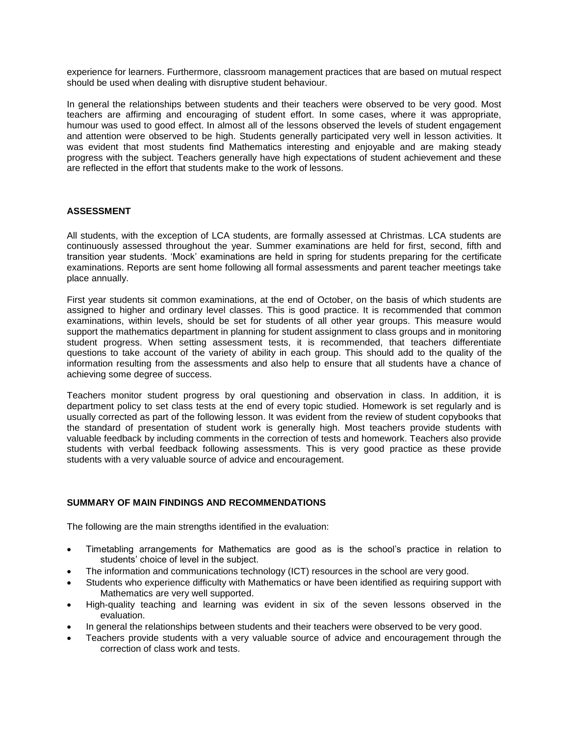experience for learners. Furthermore, classroom management practices that are based on mutual respect should be used when dealing with disruptive student behaviour.

In general the relationships between students and their teachers were observed to be very good. Most teachers are affirming and encouraging of student effort. In some cases, where it was appropriate, humour was used to good effect. In almost all of the lessons observed the levels of student engagement and attention were observed to be high. Students generally participated very well in lesson activities. It was evident that most students find Mathematics interesting and enjoyable and are making steady progress with the subject. Teachers generally have high expectations of student achievement and these are reflected in the effort that students make to the work of lessons.

### **ASSESSMENT**

All students, with the exception of LCA students, are formally assessed at Christmas. LCA students are continuously assessed throughout the year. Summer examinations are held for first, second, fifth and transition year students. 'Mock' examinations are held in spring for students preparing for the certificate examinations. Reports are sent home following all formal assessments and parent teacher meetings take place annually.

First year students sit common examinations, at the end of October, on the basis of which students are assigned to higher and ordinary level classes. This is good practice. It is recommended that common examinations, within levels, should be set for students of all other year groups. This measure would support the mathematics department in planning for student assignment to class groups and in monitoring student progress. When setting assessment tests, it is recommended, that teachers differentiate questions to take account of the variety of ability in each group. This should add to the quality of the information resulting from the assessments and also help to ensure that all students have a chance of achieving some degree of success.

Teachers monitor student progress by oral questioning and observation in class. In addition, it is department policy to set class tests at the end of every topic studied. Homework is set regularly and is usually corrected as part of the following lesson. It was evident from the review of student copybooks that the standard of presentation of student work is generally high. Most teachers provide students with valuable feedback by including comments in the correction of tests and homework. Teachers also provide students with verbal feedback following assessments. This is very good practice as these provide students with a very valuable source of advice and encouragement.

## **SUMMARY OF MAIN FINDINGS AND RECOMMENDATIONS**

The following are the main strengths identified in the evaluation:

- Timetabling arrangements for Mathematics are good as is the school's practice in relation to students' choice of level in the subject.
- The information and communications technology (ICT) resources in the school are very good.
- Students who experience difficulty with Mathematics or have been identified as requiring support with Mathematics are very well supported.
- High-quality teaching and learning was evident in six of the seven lessons observed in the evaluation.
- In general the relationships between students and their teachers were observed to be very good.
- Teachers provide students with a very valuable source of advice and encouragement through the correction of class work and tests.